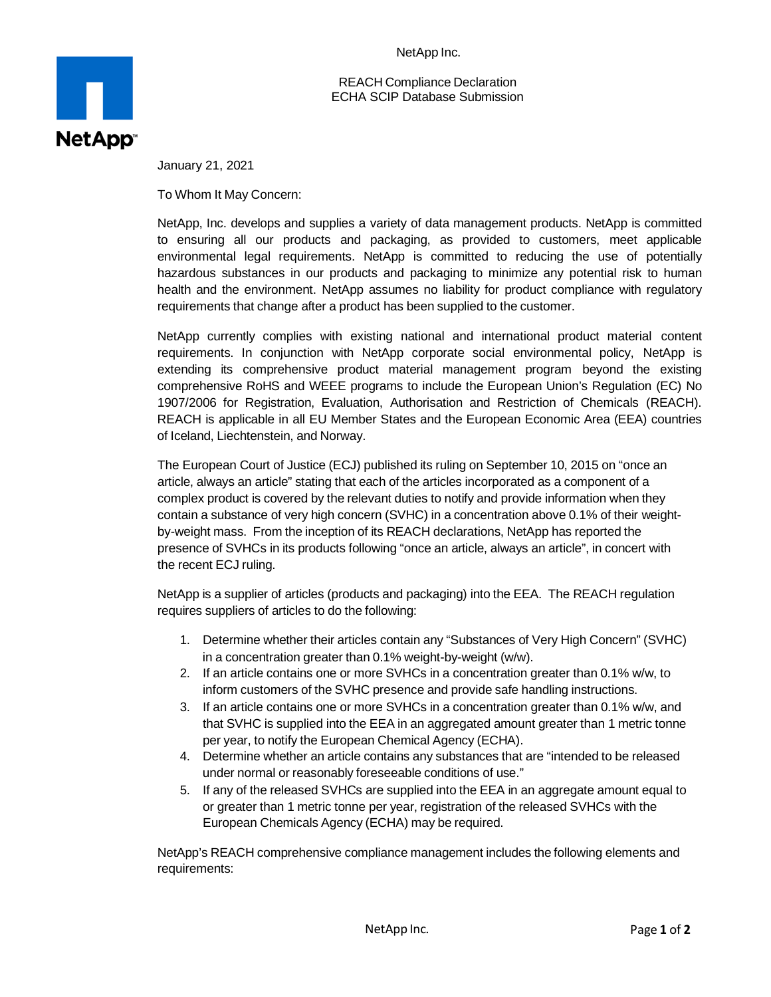NetApp Inc.

REACH Compliance Declaration ECHA SCIP Database Submission



January 21, 2021

To Whom It May Concern:

NetApp, Inc. develops and supplies a variety of data management products. NetApp is committed to ensuring all our products and packaging, as provided to customers, meet applicable environmental legal requirements. NetApp is committed to reducing the use of potentially hazardous substances in our products and packaging to minimize any potential risk to human health and the environment. NetApp assumes no liability for product compliance with regulatory requirements that change after a product has been supplied to the customer.

NetApp currently complies with existing national and international product material content requirements. In conjunction with NetApp corporate social environmental policy, NetApp is extending its comprehensive product material management program beyond the existing comprehensive RoHS and WEEE programs to include the European Union's Regulation (EC) No 1907/2006 for Registration, Evaluation, Authorisation and Restriction of Chemicals (REACH). REACH is applicable in all EU Member States and the European Economic Area (EEA) countries of Iceland, Liechtenstein, and Norway.

The European Court of Justice (ECJ) published its ruling on September 10, 2015 on "once an article, always an article" stating that each of the articles incorporated as a component of a complex product is covered by the relevant duties to notify and provide information when they contain a substance of very high concern (SVHC) in a concentration above 0.1% of their weightby-weight mass. From the inception of its REACH declarations, NetApp has reported the presence of SVHCs in its products following "once an article, always an article", in concert with the recent ECJ ruling.

NetApp is a supplier of articles (products and packaging) into the EEA. The REACH regulation requires suppliers of articles to do the following:

- 1. Determine whether their articles contain any "Substances of Very High Concern" (SVHC) in a concentration greater than 0.1% weight-by-weight (w/w).
- 2. If an article contains one or more SVHCs in a concentration greater than 0.1% w/w, to inform customers of the SVHC presence and provide safe handling instructions.
- 3. If an article contains one or more SVHCs in a concentration greater than 0.1% w/w, and that SVHC is supplied into the EEA in an aggregated amount greater than 1 metric tonne per year, to notify the European Chemical Agency (ECHA).
- 4. Determine whether an article contains any substances that are "intended to be released under normal or reasonably foreseeable conditions of use."
- 5. If any of the released SVHCs are supplied into the EEA in an aggregate amount equal to or greater than 1 metric tonne per year, registration of the released SVHCs with the European Chemicals Agency (ECHA) may be required.

NetApp's REACH comprehensive compliance management includes the following elements and requirements: